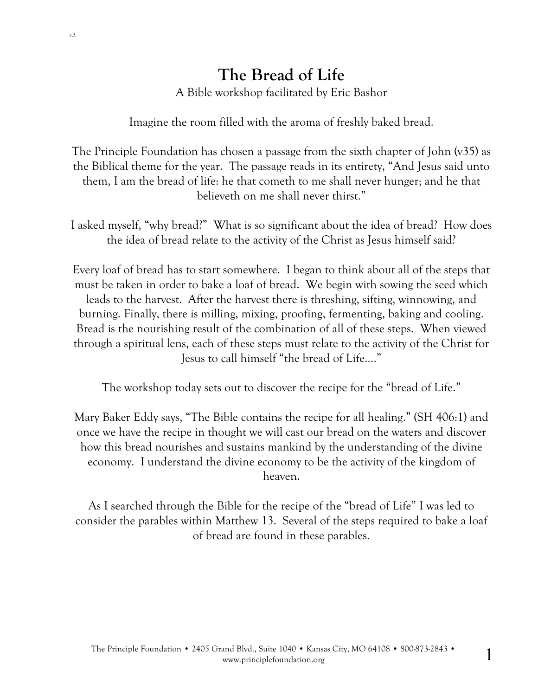# **The Bread of Life**

A Bible workshop facilitated by Eric Bashor

Imagine the room filled with the aroma of freshly baked bread.

The Principle Foundation has chosen a passage from the sixth chapter of John (v35) as the Biblical theme for the year. The passage reads in its entirety, "And Jesus said unto them, I am the bread of life: he that cometh to me shall never hunger; and he that believeth on me shall never thirst."

I asked myself, "why bread?" What is so significant about the idea of bread? How does the idea of bread relate to the activity of the Christ as Jesus himself said?

Every loaf of bread has to start somewhere. I began to think about all of the steps that must be taken in order to bake a loaf of bread. We begin with sowing the seed which leads to the harvest. After the harvest there is threshing, sifting, winnowing, and burning. Finally, there is milling, mixing, proofing, fermenting, baking and cooling. Bread is the nourishing result of the combination of all of these steps. When viewed through a spiritual lens, each of these steps must relate to the activity of the Christ for Jesus to call himself "the bread of Life…."

The workshop today sets out to discover the recipe for the "bread of Life."

Mary Baker Eddy says, "The Bible contains the recipe for all healing." (SH 406:1) and once we have the recipe in thought we will cast our bread on the waters and discover how this bread nourishes and sustains mankind by the understanding of the divine economy. I understand the divine economy to be the activity of the kingdom of heaven.

As I searched through the Bible for the recipe of the "bread of Life" I was led to consider the parables within Matthew 13. Several of the steps required to bake a loaf of bread are found in these parables.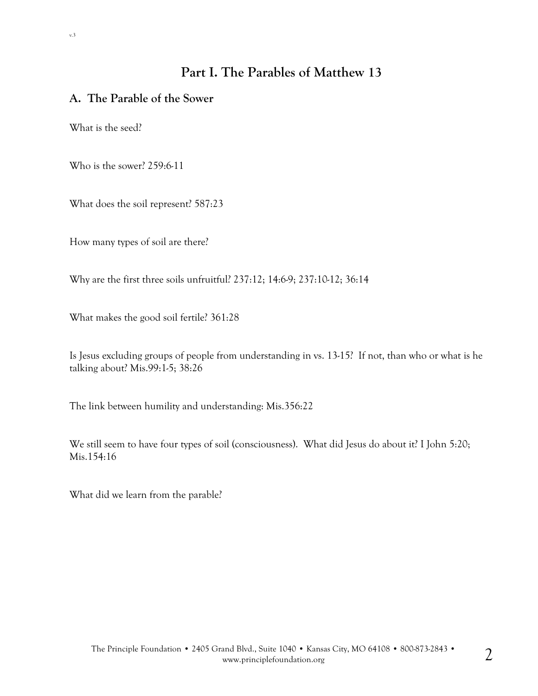## **Part I. The Parables of Matthew 13**

### **A. The Parable of the Sower**

What is the seed?

Who is the sower? 259:6-11

What does the soil represent? 587:23

How many types of soil are there?

Why are the first three soils unfruitful? 237:12; 14:6-9; 237:10-12; 36:14

What makes the good soil fertile? 361:28

Is Jesus excluding groups of people from understanding in vs. 13-15? If not, than who or what is he talking about? Mis.99:1-5; 38:26

The link between humility and understanding: Mis.356:22

We still seem to have four types of soil (consciousness). What did Jesus do about it? I John 5:20; Mis.154:16

What did we learn from the parable?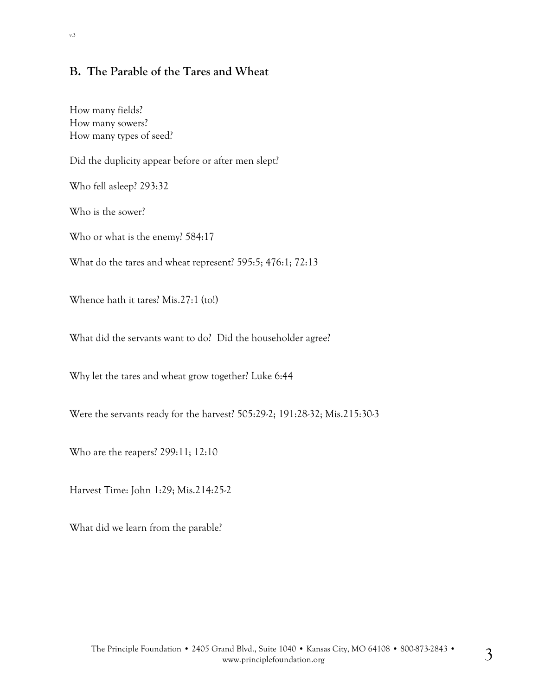### **B. The Parable of the Tares and Wheat**

How many fields? How many sowers? How many types of seed?

Did the duplicity appear before or after men slept?

Who fell asleep? 293:32

Who is the sower?

Who or what is the enemy? 584:17

What do the tares and wheat represent? 595:5; 476:1; 72:13

Whence hath it tares? Mis.27:1 (to!)

What did the servants want to do? Did the householder agree?

Why let the tares and wheat grow together? Luke 6:44

Were the servants ready for the harvest? 505:29-2; 191:28-32; Mis.215:30-3

Who are the reapers? 299:11; 12:10

Harvest Time: John 1:29; Mis.214:25-2

What did we learn from the parable?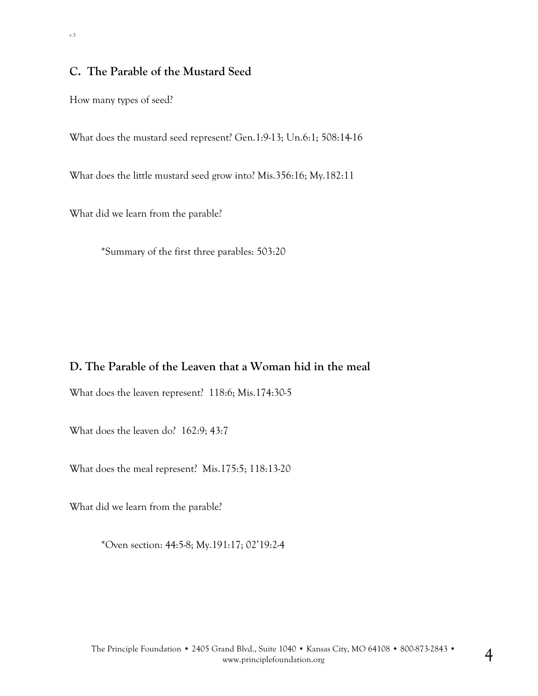### **C. The Parable of the Mustard Seed**

How many types of seed?

What does the mustard seed represent? Gen.1:9-13; Un.6:1; 508:14-16

What does the little mustard seed grow into? Mis.356:16; My.182:11

What did we learn from the parable?

\*Summary of the first three parables: 503:20

## **D. The Parable of the Leaven that a Woman hid in the meal**

What does the leaven represent? 118:6; Mis.174:30-5

What does the leaven do? 162:9; 43:7

What does the meal represent? Mis.175:5; 118:13-20

What did we learn from the parable?

\*Oven section: 44:5-8; My.191:17; 02'19:2-4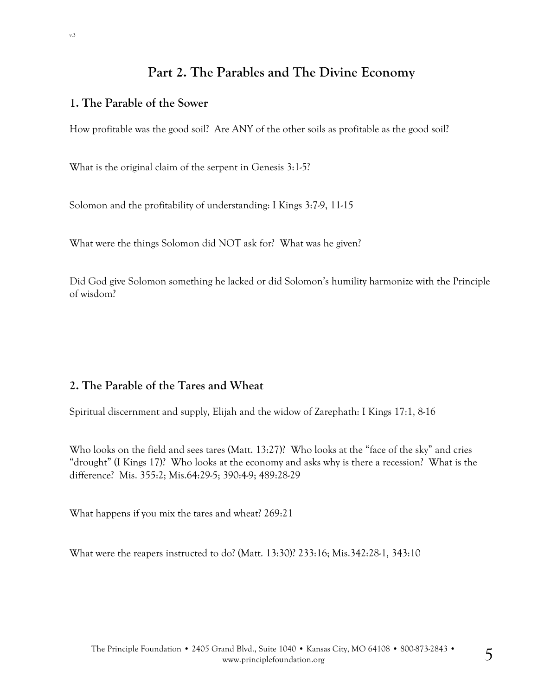# **Part 2. The Parables and The Divine Economy**

#### **1. The Parable of the Sower**

How profitable was the good soil? Are ANY of the other soils as profitable as the good soil?

What is the original claim of the serpent in Genesis 3:1-5?

Solomon and the profitability of understanding: I Kings 3:7-9, 11-15

What were the things Solomon did NOT ask for? What was he given?

Did God give Solomon something he lacked or did Solomon's humility harmonize with the Principle of wisdom?

#### **2. The Parable of the Tares and Wheat**

Spiritual discernment and supply, Elijah and the widow of Zarephath: I Kings 17:1, 8-16

Who looks on the field and sees tares (Matt. 13:27)? Who looks at the "face of the sky" and cries "drought" (I Kings 17)? Who looks at the economy and asks why is there a recession? What is the difference? Mis. 355:2; Mis.64:29-5; 390:4-9; 489:28-29

What happens if you mix the tares and wheat? 269:21

What were the reapers instructed to do? (Matt. 13:30)? 233:16; Mis.342:28-1, 343:10